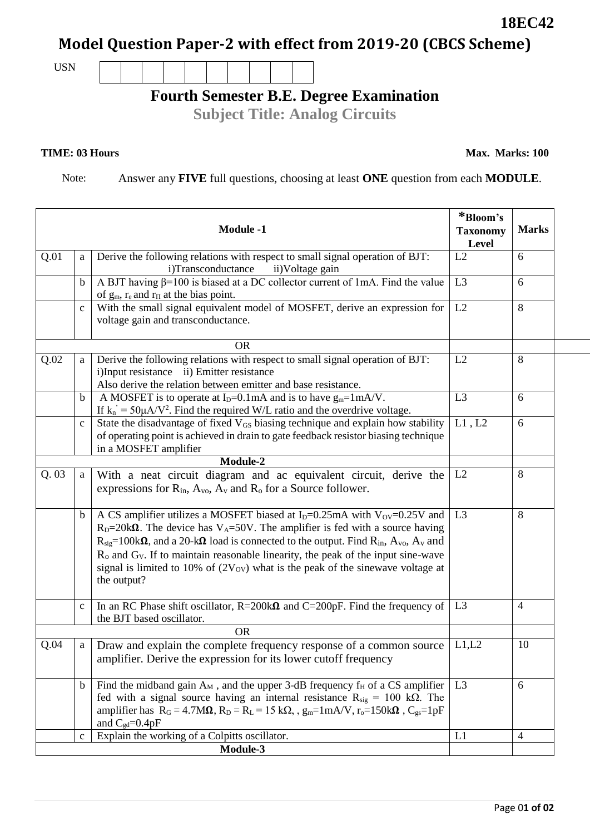## **Model Question Paper-2 with effect from 2019-20 (CBCS Scheme)**

USN

## **Fourth Semester B.E. Degree Examination**

**Subject Title: Analog Circuits**

## **TIME: 03 Hours**

Note: Answer any **FIVE** full questions, choosing at least **ONE** question from each **MODULE**.

| <b>Module -1</b> |              |                                                                                                                                                                                                                                                                                                                                                                                                                                                                                                              | *Bloom's<br><b>Taxonomy</b><br><b>Level</b> | <b>Marks</b>   |
|------------------|--------------|--------------------------------------------------------------------------------------------------------------------------------------------------------------------------------------------------------------------------------------------------------------------------------------------------------------------------------------------------------------------------------------------------------------------------------------------------------------------------------------------------------------|---------------------------------------------|----------------|
| Q.01             | a            | Derive the following relations with respect to small signal operation of BJT:<br>i)Transconductance<br>ii)Voltage gain                                                                                                                                                                                                                                                                                                                                                                                       | L2                                          | 6              |
|                  | b            | A BJT having $\beta$ =100 is biased at a DC collector current of 1mA. Find the value<br>of $g_m$ , $r_e$ and $r_{\Pi}$ at the bias point.                                                                                                                                                                                                                                                                                                                                                                    | L <sub>3</sub>                              | 6              |
|                  | $\mathbf c$  | With the small signal equivalent model of MOSFET, derive an expression for<br>voltage gain and transconductance.                                                                                                                                                                                                                                                                                                                                                                                             | L2                                          | 8              |
|                  |              | <b>OR</b>                                                                                                                                                                                                                                                                                                                                                                                                                                                                                                    |                                             |                |
| Q.02             | a            | Derive the following relations with respect to small signal operation of BJT:<br>i)Input resistance ii) Emitter resistance<br>Also derive the relation between emitter and base resistance.                                                                                                                                                                                                                                                                                                                  | L2                                          | 8              |
|                  | b            | A MOSFET is to operate at $I_D=0.1$ mA and is to have $g_m=1$ mA/V.<br>If $k_n = 50 \mu A/V^2$ . Find the required W/L ratio and the overdrive voltage.                                                                                                                                                                                                                                                                                                                                                      | L <sub>3</sub>                              | 6              |
|                  | $\mathbf C$  | State the disadvantage of fixed V <sub>GS</sub> biasing technique and explain how stability<br>of operating point is achieved in drain to gate feedback resistor biasing technique<br>in a MOSFET amplifier                                                                                                                                                                                                                                                                                                  | L1, L2                                      | 6              |
|                  |              | Module-2                                                                                                                                                                                                                                                                                                                                                                                                                                                                                                     |                                             |                |
| Q.03             | a            | With a neat circuit diagram and ac equivalent circuit, derive the<br>expressions for $R_{in}$ , $A_{vo}$ , $A_{v}$ and $R_{o}$ for a Source follower.                                                                                                                                                                                                                                                                                                                                                        | L2                                          | 8              |
|                  | b            | A CS amplifier utilizes a MOSFET biased at $I_D=0.25mA$ with $V_{OV}=0.25V$ and<br>$RD=20k\Omega$ . The device has V <sub>A</sub> =50V. The amplifier is fed with a source having<br>$R_{sig}=100k\Omega$ , and a 20-k $\Omega$ load is connected to the output. Find $R_{in}$ , $A_{vo}$ , $A_{v}$ and<br>$Ro$ and $GV$ . If to maintain reasonable linearity, the peak of the input sine-wave<br>signal is limited to 10% of $(2V_{\text{ov}})$ what is the peak of the sinewave voltage at<br>the output? | L <sub>3</sub>                              | 8              |
|                  | $\mathbf{C}$ | In an RC Phase shift oscillator, $R = 200k\Omega$ and C=200pF. Find the frequency of<br>the BJT based oscillator.                                                                                                                                                                                                                                                                                                                                                                                            | L <sub>3</sub>                              | $\overline{4}$ |
|                  |              | <b>OR</b>                                                                                                                                                                                                                                                                                                                                                                                                                                                                                                    |                                             |                |
| Q.04             | a            | Draw and explain the complete frequency response of a common source<br>amplifier. Derive the expression for its lower cutoff frequency                                                                                                                                                                                                                                                                                                                                                                       | L1,L2                                       | 10             |
|                  | $\mathbf b$  | Find the midband gain $A_M$ , and the upper 3-dB frequency $f_H$ of a CS amplifier<br>fed with a signal source having an internal resistance $R_{sig} = 100 \text{ k}\Omega$ . The<br>amplifier has $R_G = 4.7M\Omega$ , $R_D = R_L = 15 k\Omega$ , $g_m = 1 mA/V$ , $r_o = 150k\Omega$ , $C_{gs} = 1pF$<br>and $C_{gd} = 0.4pF$                                                                                                                                                                             | L <sub>3</sub>                              | 6              |
|                  | $\mathbf c$  | Explain the working of a Colpitts oscillator.                                                                                                                                                                                                                                                                                                                                                                                                                                                                | L1                                          | 4              |
|                  |              | Module-3                                                                                                                                                                                                                                                                                                                                                                                                                                                                                                     |                                             |                |

**18EC42**

**Max. Marks: 100**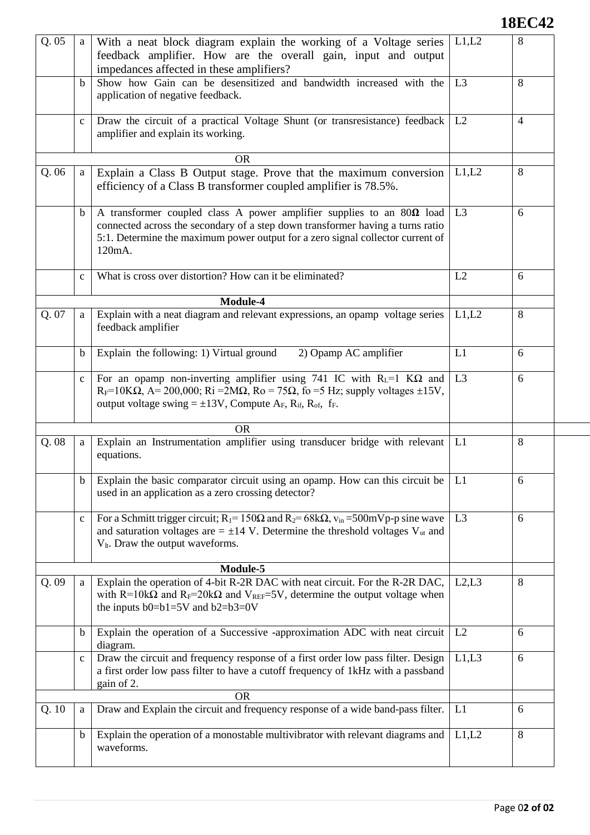## **18EC42**

| Q.05 | a            | With a neat block diagram explain the working of a Voltage series<br>feedback amplifier. How are the overall gain, input and output<br>impedances affected in these amplifiers?                                                                                                                           | L1,L2          | 8              |
|------|--------------|-----------------------------------------------------------------------------------------------------------------------------------------------------------------------------------------------------------------------------------------------------------------------------------------------------------|----------------|----------------|
|      | b            | Show how Gain can be desensitized and bandwidth increased with the<br>application of negative feedback.                                                                                                                                                                                                   | L <sub>3</sub> | 8              |
|      | $\mathbf{C}$ | Draw the circuit of a practical Voltage Shunt (or transresistance) feedback<br>amplifier and explain its working.                                                                                                                                                                                         | L2             | $\overline{4}$ |
|      |              | <b>OR</b>                                                                                                                                                                                                                                                                                                 |                |                |
| Q.06 | a            | Explain a Class B Output stage. Prove that the maximum conversion<br>efficiency of a Class B transformer coupled amplifier is 78.5%.                                                                                                                                                                      | L1,L2          | 8              |
|      | $\mathbf b$  | A transformer coupled class A power amplifier supplies to an $80\Omega$ load<br>connected across the secondary of a step down transformer having a turns ratio<br>5:1. Determine the maximum power output for a zero signal collector current of<br>120mA.                                                | L <sub>3</sub> | 6              |
|      | $\mathbf{C}$ | What is cross over distortion? How can it be eliminated?                                                                                                                                                                                                                                                  | L2             | 6              |
|      |              | Module-4                                                                                                                                                                                                                                                                                                  |                |                |
| Q.07 | a            | Explain with a neat diagram and relevant expressions, an opamp voltage series<br>feedback amplifier                                                                                                                                                                                                       | L1,L2          | 8              |
|      | b            | 2) Opamp AC amplifier<br>Explain the following: 1) Virtual ground                                                                                                                                                                                                                                         | L1             | 6              |
|      | $\mathbf{C}$ | For an opamp non-inverting amplifier using 741 IC with $R_L=1$ K $\Omega$ and<br>$R_F=10K\Omega$ , A= 200,000; Ri = 2M $\Omega$ , Ro = 75 $\Omega$ , fo = 5 Hz; supply voltages ±15V,<br>output voltage swing $= \pm 13V$ , Compute A <sub>F</sub> , R <sub>if</sub> , R <sub>of</sub> , f <sub>F</sub> . | L <sub>3</sub> | 6              |
|      |              | <b>OR</b>                                                                                                                                                                                                                                                                                                 |                |                |
| Q.08 | a            | Explain an Instrumentation amplifier using transducer bridge with relevant<br>equations.                                                                                                                                                                                                                  | L1             | 8              |
|      | b            | Explain the basic comparator circuit using an opamp. How can this circuit be<br>used in an application as a zero crossing detector?                                                                                                                                                                       | L <sub>1</sub> | 6              |
|      | $\mathbf c$  | For a Schmitt trigger circuit; $R_1 = 150\Omega$ and $R_2 = 68k\Omega$ , $v_{in} = 500$ mVp-p sine wave<br>and saturation voltages are $= \pm 14$ V. Determine the threshold voltages V <sub>ut</sub> and<br>$V_{lt}$ . Draw the output waveforms.                                                        | L <sub>3</sub> | 6              |
|      |              | Module-5                                                                                                                                                                                                                                                                                                  |                |                |
| Q.09 | a            | Explain the operation of 4-bit R-2R DAC with neat circuit. For the R-2R DAC,<br>with R=10k $\Omega$ and R <sub>F</sub> =20k $\Omega$ and V <sub>REF</sub> =5V, determine the output voltage when<br>the inputs $b0=b1=5V$ and $b2=b3=0V$                                                                  | L2,L3          | 8              |
|      | $\mathbf b$  | Explain the operation of a Successive -approximation ADC with neat circuit<br>diagram.                                                                                                                                                                                                                    | L2             | 6              |
|      | $\mathbf c$  | Draw the circuit and frequency response of a first order low pass filter. Design<br>a first order low pass filter to have a cutoff frequency of 1kHz with a passband<br>gain of 2.                                                                                                                        | L1,L3          | 6              |
|      |              | <b>OR</b>                                                                                                                                                                                                                                                                                                 |                |                |
| Q.10 | a            | Draw and Explain the circuit and frequency response of a wide band-pass filter.                                                                                                                                                                                                                           | L1             | 6              |
|      | b            | Explain the operation of a monostable multivibrator with relevant diagrams and<br>waveforms.                                                                                                                                                                                                              | L1,L2          | 8              |